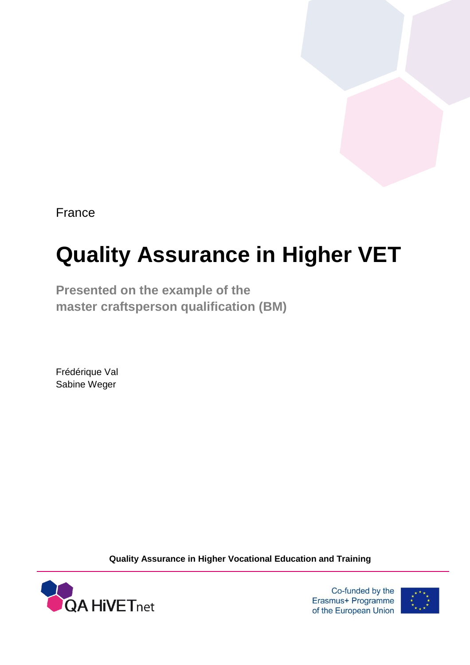France

# **Quality Assurance in Higher VET**

**Presented on the example of the master craftsperson qualification (BM)**

Frédérique Val Sabine Weger

**Quality Assurance in Higher Vocational Education and Training**



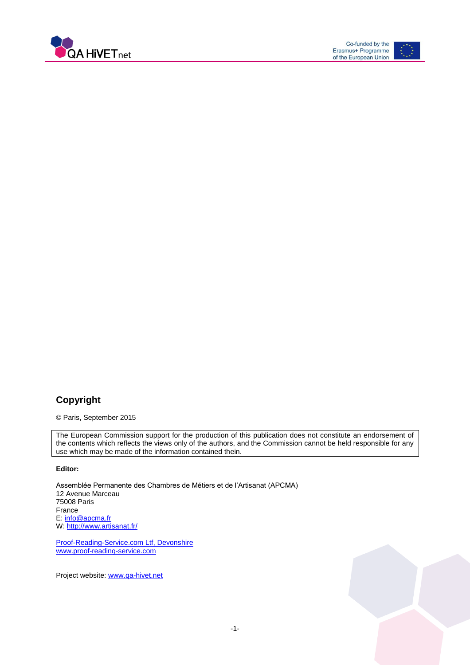



### **Copyright**

© Paris, September 2015

The European Commission support for the production of this publication does not constitute an endorsement of the contents which reflects the views only of the authors, and the Commission cannot be held responsible for any use which may be made of the information contained thein.

#### **Editor:**

Assemblée Permanente des Chambres de Métiers et de l'Artisanat (APCMA) 12 Avenue Marceau 75008 Paris France E: [info@apcma.fr](mailto:info@apcma.fr) W[: http://www.artisanat.fr/](http://www.artisanat.fr/)

Proof-Reading-Service.com Ltf, Devonshire [www.proof-reading-service.com](http://www.proof-reading-service.com/)

Project website: [www.qa-hivet.net](http://www.qa-hivet.net/)

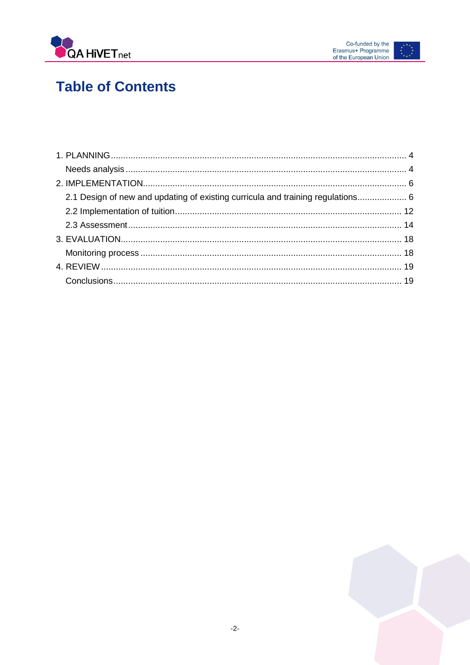



# **Table of Contents**

| 2.1 Design of new and updating of existing curricula and training regulations 6 |  |
|---------------------------------------------------------------------------------|--|
|                                                                                 |  |
|                                                                                 |  |
|                                                                                 |  |
|                                                                                 |  |
|                                                                                 |  |
|                                                                                 |  |

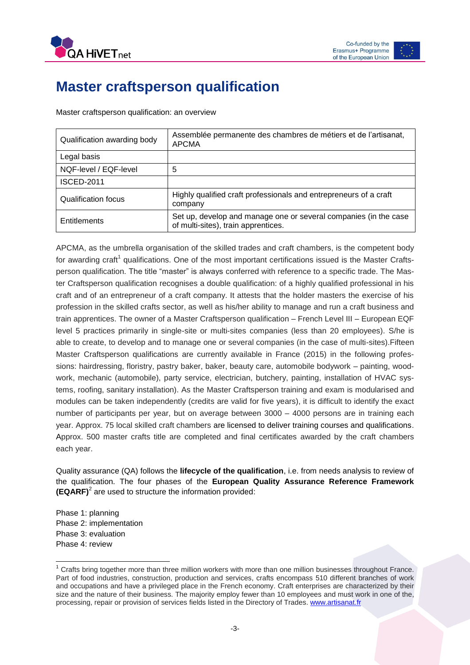



## **Master craftsperson qualification**

Master craftsperson qualification: an overview

| Qualification awarding body | Assemblée permanente des chambres de métiers et de l'artisanat,<br><b>APCMA</b>                         |
|-----------------------------|---------------------------------------------------------------------------------------------------------|
| Legal basis                 |                                                                                                         |
| NQF-level / EQF-level       | 5                                                                                                       |
| <b>ISCED-2011</b>           |                                                                                                         |
| Qualification focus         | Highly qualified craft professionals and entrepreneurs of a craft<br>company                            |
| Entitlements                | Set up, develop and manage one or several companies (in the case<br>of multi-sites), train apprentices. |

APCMA, as the umbrella organisation of the skilled trades and craft chambers, is the competent body for awarding craft<sup>1</sup> qualifications. One of the most important certifications issued is the Master Craftsperson qualification. The title "master" is always conferred with reference to a specific trade. The Master Craftsperson qualification recognises a double qualification: of a highly qualified professional in his craft and of an entrepreneur of a craft company. It attests that the holder masters the exercise of his profession in the skilled crafts sector, as well as his/her ability to manage and run a craft business and train apprentices. The owner of a Master Craftsperson qualification – French Level III – European EQF level 5 practices primarily in single-site or multi-sites companies (less than 20 employees). S/he is able to create, to develop and to manage one or several companies (in the case of multi-sites).Fifteen Master Craftsperson qualifications are currently available in France (2015) in the following professions: hairdressing, floristry, pastry baker, baker, beauty care, automobile bodywork – painting, woodwork, mechanic (automobile), party service, electrician, butchery, painting, installation of HVAC systems, roofing, sanitary installation). As the Master Craftsperson training and exam is modularised and modules can be taken independently (credits are valid for five years), it is difficult to identify the exact number of participants per year, but on average between 3000 – 4000 persons are in training each year. Approx. 75 local skilled craft chambers are licensed to deliver training courses and qualifications. Approx. 500 master crafts title are completed and final certificates awarded by the craft chambers each year.

Quality assurance (QA) follows the **lifecycle of the qualification**, i.e. from needs analysis to review of the qualification. The four phases of the **European Quality Assurance Reference Framework (EQARF)**<sup>2</sup> are used to structure the information provided:

Phase 1: planning Phase 2: implementation Phase 3: evaluation Phase 4: review

 $\overline{a}$  $1$  Crafts bring together more than three million workers with more than one million businesses throughout France. Part of food industries, construction, production and services, crafts encompass 510 different branches of work and occupations and have a privileged place in the French economy. Craft enterprises are characterized by their size and the nature of their business. The majority employ fewer than 10 employees and must work in one of the, processing, repair or provision of services fields listed in the Directory of Trades. [www.artisanat.fr](http://www.artisanat.fr/)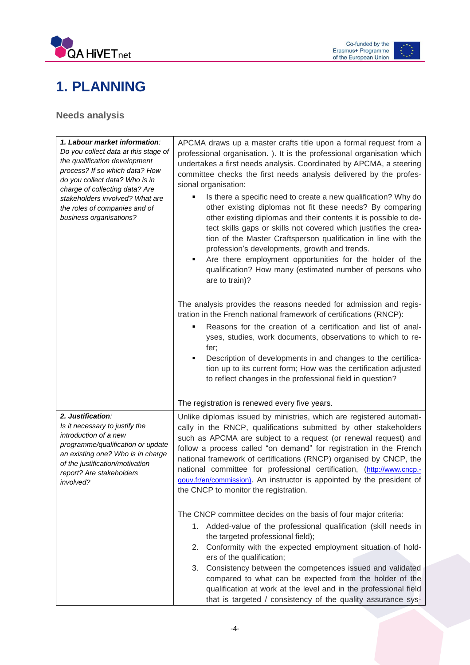



# <span id="page-4-0"></span>**1. PLANNING**

<span id="page-4-1"></span>**Needs analysis**

| 1. Labour market information:<br>Do you collect data at this stage of<br>the qualification development<br>process? If so which data? How<br>do you collect data? Who is in<br>charge of collecting data? Are<br>stakeholders involved? What are<br>the roles of companies and of<br>business organisations? | APCMA draws up a master crafts title upon a formal request from a<br>professional organisation. ). It is the professional organisation which<br>undertakes a first needs analysis. Coordinated by APCMA, a steering<br>committee checks the first needs analysis delivered by the profes-<br>sional organisation:<br>Is there a specific need to create a new qualification? Why do<br>other existing diplomas not fit these needs? By comparing<br>other existing diplomas and their contents it is possible to de-<br>tect skills gaps or skills not covered which justifies the crea-<br>tion of the Master Craftsperson qualification in line with the<br>profession's developments, growth and trends.<br>Are there employment opportunities for the holder of the<br>٠<br>qualification? How many (estimated number of persons who<br>are to train)?<br>The analysis provides the reasons needed for admission and regis-<br>tration in the French national framework of certifications (RNCP):<br>Reasons for the creation of a certification and list of anal-<br>٠<br>yses, studies, work documents, observations to which to re-<br>fer;<br>Description of developments in and changes to the certifica-<br>tion up to its current form; How was the certification adjusted<br>to reflect changes in the professional field in question? |
|-------------------------------------------------------------------------------------------------------------------------------------------------------------------------------------------------------------------------------------------------------------------------------------------------------------|----------------------------------------------------------------------------------------------------------------------------------------------------------------------------------------------------------------------------------------------------------------------------------------------------------------------------------------------------------------------------------------------------------------------------------------------------------------------------------------------------------------------------------------------------------------------------------------------------------------------------------------------------------------------------------------------------------------------------------------------------------------------------------------------------------------------------------------------------------------------------------------------------------------------------------------------------------------------------------------------------------------------------------------------------------------------------------------------------------------------------------------------------------------------------------------------------------------------------------------------------------------------------------------------------------------------------------------------------|
|                                                                                                                                                                                                                                                                                                             |                                                                                                                                                                                                                                                                                                                                                                                                                                                                                                                                                                                                                                                                                                                                                                                                                                                                                                                                                                                                                                                                                                                                                                                                                                                                                                                                                    |
|                                                                                                                                                                                                                                                                                                             | The registration is renewed every five years.                                                                                                                                                                                                                                                                                                                                                                                                                                                                                                                                                                                                                                                                                                                                                                                                                                                                                                                                                                                                                                                                                                                                                                                                                                                                                                      |
| 2. Justification:<br>Is it necessary to justify the<br>introduction of a new<br>programme/qualification or update<br>an existing one? Who is in charge<br>of the justification/motivation<br>report? Are stakeholders<br>involved?                                                                          | Unlike diplomas issued by ministries, which are registered automati-<br>cally in the RNCP, qualifications submitted by other stakeholders<br>such as APCMA are subject to a request (or renewal request) and<br>follow a process called "on demand" for registration in the French<br>national framework of certifications (RNCP) organised by CNCP, the<br>national committee for professional certification, (http://www.cncp.-<br>gouv.fr/en/commission). An instructor is appointed by the president of<br>the CNCP to monitor the registration.                                                                                                                                                                                                                                                                                                                                                                                                                                                                                                                                                                                                                                                                                                                                                                                               |
|                                                                                                                                                                                                                                                                                                             | The CNCP committee decides on the basis of four major criteria:<br>1. Added-value of the professional qualification (skill needs in<br>the targeted professional field);<br>Conformity with the expected employment situation of hold-<br>2.<br>ers of the qualification;<br>Consistency between the competences issued and validated<br>3.<br>compared to what can be expected from the holder of the<br>qualification at work at the level and in the professional field<br>that is targeted / consistency of the quality assurance sys-                                                                                                                                                                                                                                                                                                                                                                                                                                                                                                                                                                                                                                                                                                                                                                                                         |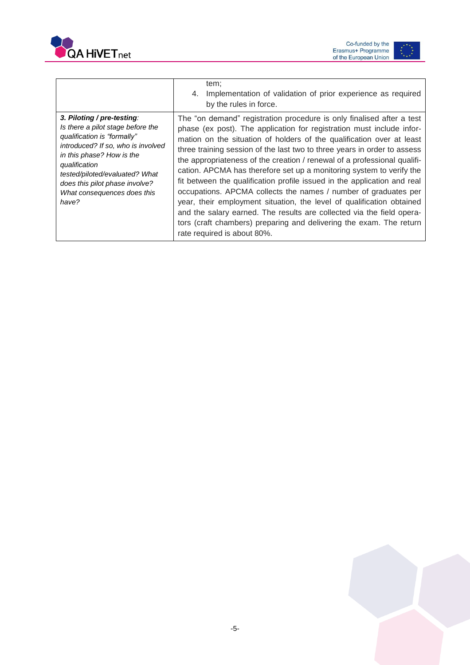



|                                                                                                                                                                                                                                                                                                | tem;<br>Implementation of validation of prior experience as required<br>4.<br>by the rules in force.                                                                                                                                                                                                                                                                                                                                                                                                                                                                                                                                                                                                                                                                                                                                                           |
|------------------------------------------------------------------------------------------------------------------------------------------------------------------------------------------------------------------------------------------------------------------------------------------------|----------------------------------------------------------------------------------------------------------------------------------------------------------------------------------------------------------------------------------------------------------------------------------------------------------------------------------------------------------------------------------------------------------------------------------------------------------------------------------------------------------------------------------------------------------------------------------------------------------------------------------------------------------------------------------------------------------------------------------------------------------------------------------------------------------------------------------------------------------------|
| 3. Piloting / pre-testing:<br>Is there a pilot stage before the<br>qualification is "formally"<br>introduced? If so, who is involved<br>in this phase? How is the<br>qualification<br>tested/piloted/evaluated? What<br>does this pilot phase involve?<br>What consequences does this<br>have? | The "on demand" registration procedure is only finalised after a test<br>phase (ex post). The application for registration must include infor-<br>mation on the situation of holders of the qualification over at least<br>three training session of the last two to three years in order to assess<br>the appropriateness of the creation / renewal of a professional qualifi-<br>cation. APCMA has therefore set up a monitoring system to verify the<br>fit between the qualification profile issued in the application and real<br>occupations. APCMA collects the names / number of graduates per<br>year, their employment situation, the level of qualification obtained<br>and the salary earned. The results are collected via the field opera-<br>tors (craft chambers) preparing and delivering the exam. The return<br>rate required is about 80%. |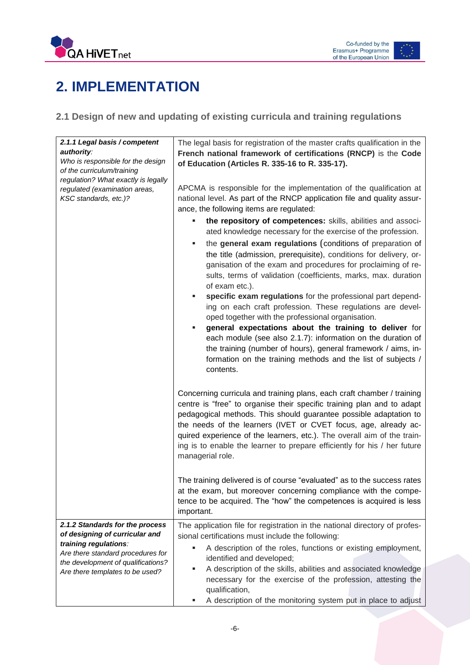



# <span id="page-6-0"></span>**2. IMPLEMENTATION**

### <span id="page-6-1"></span>**2.1 Design of new and updating of existing curricula and training regulations**

| 2.1.1 Legal basis / competent<br>authority:<br>Who is responsible for the design<br>of the curriculum/training<br>regulation? What exactly is legally<br>regulated (examination areas,<br>KSC standards, etc.)? | The legal basis for registration of the master crafts qualification in the<br>French national framework of certifications (RNCP) is the Code<br>of Education (Articles R. 335-16 to R. 335-17).<br>APCMA is responsible for the implementation of the qualification at<br>national level. As part of the RNCP application file and quality assur-<br>ance, the following items are regulated:<br>the repository of competences: skills, abilities and associ-<br>ated knowledge necessary for the exercise of the profession.<br>the general exam regulations (conditions of preparation of<br>ш<br>the title (admission, prerequisite), conditions for delivery, or-<br>ganisation of the exam and procedures for proclaiming of re-<br>sults, terms of validation (coefficients, marks, max. duration<br>of exam etc.).<br>specific exam regulations for the professional part depend-<br>٠<br>ing on each craft profession. These regulations are devel-<br>oped together with the professional organisation.<br>general expectations about the training to deliver for<br>٠<br>each module (see also 2.1.7): information on the duration of<br>the training (number of hours), general framework / aims, in-<br>formation on the training methods and the list of subjects /<br>contents. |
|-----------------------------------------------------------------------------------------------------------------------------------------------------------------------------------------------------------------|-----------------------------------------------------------------------------------------------------------------------------------------------------------------------------------------------------------------------------------------------------------------------------------------------------------------------------------------------------------------------------------------------------------------------------------------------------------------------------------------------------------------------------------------------------------------------------------------------------------------------------------------------------------------------------------------------------------------------------------------------------------------------------------------------------------------------------------------------------------------------------------------------------------------------------------------------------------------------------------------------------------------------------------------------------------------------------------------------------------------------------------------------------------------------------------------------------------------------------------------------------------------------------------------------|
|                                                                                                                                                                                                                 | Concerning curricula and training plans, each craft chamber / training<br>centre is "free" to organise their specific training plan and to adapt<br>pedagogical methods. This should guarantee possible adaptation to<br>the needs of the learners (IVET or CVET focus, age, already ac-<br>quired experience of the learners, etc.). The overall aim of the train-<br>ing is to enable the learner to prepare efficiently for his / her future<br>managerial role.<br>The training delivered is of course "evaluated" as to the success rates<br>at the exam, but moreover concerning compliance with the compe-<br>tence to be acquired. The "how" the competences is acquired is less<br>important.                                                                                                                                                                                                                                                                                                                                                                                                                                                                                                                                                                                        |
| 2.1.2 Standards for the process<br>of designing of curricular and                                                                                                                                               | The application file for registration in the national directory of profes-                                                                                                                                                                                                                                                                                                                                                                                                                                                                                                                                                                                                                                                                                                                                                                                                                                                                                                                                                                                                                                                                                                                                                                                                                    |
| training regulations:<br>Are there standard procedures for<br>the development of qualifications?<br>Are there templates to be used?                                                                             | sional certifications must include the following:<br>A description of the roles, functions or existing employment,<br>identified and developed;<br>A description of the skills, abilities and associated knowledge<br>п<br>necessary for the exercise of the profession, attesting the<br>qualification,<br>A description of the monitoring system put in place to adjust                                                                                                                                                                                                                                                                                                                                                                                                                                                                                                                                                                                                                                                                                                                                                                                                                                                                                                                     |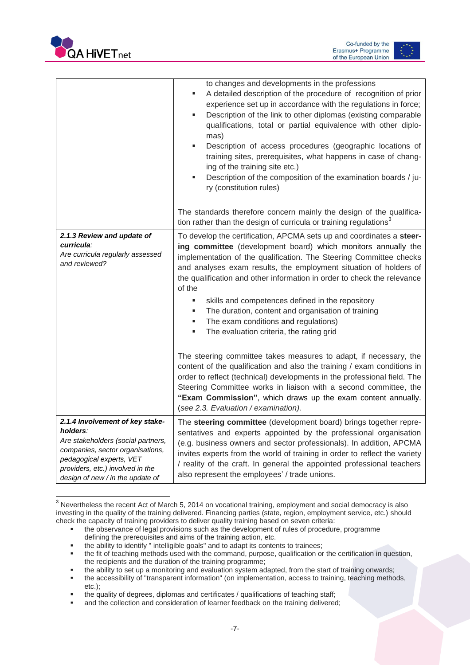

 $\overline{a}$ 



|                                                                                                                                                                                                                           | to changes and developments in the professions<br>A detailed description of the procedure of recognition of prior<br>experience set up in accordance with the regulations in force;<br>Description of the link to other diplomas (existing comparable<br>٠<br>qualifications, total or partial equivalence with other diplo-<br>mas)<br>Description of access procedures (geographic locations of<br>٠<br>training sites, prerequisites, what happens in case of chang-<br>ing of the training site etc.)<br>Description of the composition of the examination boards / ju-<br>ry (constitution rules)                                                                                                                                                                                                                                                                                                                                                                           |
|---------------------------------------------------------------------------------------------------------------------------------------------------------------------------------------------------------------------------|----------------------------------------------------------------------------------------------------------------------------------------------------------------------------------------------------------------------------------------------------------------------------------------------------------------------------------------------------------------------------------------------------------------------------------------------------------------------------------------------------------------------------------------------------------------------------------------------------------------------------------------------------------------------------------------------------------------------------------------------------------------------------------------------------------------------------------------------------------------------------------------------------------------------------------------------------------------------------------|
|                                                                                                                                                                                                                           | The standards therefore concern mainly the design of the qualifica-<br>tion rather than the design of curricula or training regulations <sup>3</sup>                                                                                                                                                                                                                                                                                                                                                                                                                                                                                                                                                                                                                                                                                                                                                                                                                             |
| 2.1.3 Review and update of<br>curricula:<br>Are curricula regularly assessed<br>and reviewed?                                                                                                                             | To develop the certification, APCMA sets up and coordinates a steer-<br>ing committee (development board) which monitors annually the<br>implementation of the qualification. The Steering Committee checks<br>and analyses exam results, the employment situation of holders of<br>the qualification and other information in order to check the relevance<br>of the<br>skills and competences defined in the repository<br>The duration, content and organisation of training<br>The exam conditions and regulations)<br>٠<br>The evaluation criteria, the rating grid<br>The steering committee takes measures to adapt, if necessary, the<br>content of the qualification and also the training / exam conditions in<br>order to reflect (technical) developments in the professional field. The<br>Steering Committee works in liaison with a second committee, the<br>"Exam Commission", which draws up the exam content annually.<br>(see 2.3. Evaluation / examination). |
| 2.1.4 Involvement of key stake-<br>holders:<br>Are stakeholders (social partners,<br>companies, sector organisations,<br>pedagogical experts, VET<br>providers, etc.) involved in the<br>design of new / in the update of | The steering committee (development board) brings together repre-<br>sentatives and experts appointed by the professional organisation<br>(e.g. business owners and sector professionals). In addition, APCMA<br>invites experts from the world of training in order to reflect the variety<br>/ reality of the craft. In general the appointed professional teachers<br>also represent the employees' / trade unions.                                                                                                                                                                                                                                                                                                                                                                                                                                                                                                                                                           |

 $3$  Nevertheless the recent Act of March 5, 2014 on vocational training, employment and social democracy is also investing in the quality of the training delivered. Financing parties (state, region, employment service, etc.) should check the capacity of training providers to deliver quality training based on seven criteria:

the ability to identify " intelligible goals" and to adapt its contents to trainees;

the observance of legal provisions such as the development of rules of procedure, programme defining the prerequisites and aims of the training action, etc.

the fit of teaching methods used with the command, purpose, qualification or the certification in question, the recipients and the duration of the training programme;

the ability to set up a monitoring and evaluation system adapted, from the start of training onwards;

the accessibility of "transparent information" (on implementation, access to training, teaching methods, etc.);

the quality of degrees, diplomas and certificates / qualifications of teaching staff;

and the collection and consideration of learner feedback on the training delivered;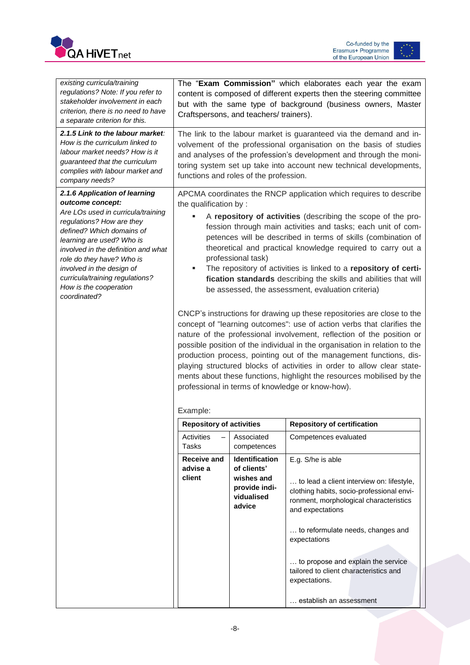



| existing curricula/training<br>regulations? Note: If you refer to<br>stakeholder involvement in each<br>criterion, there is no need to have<br>a separate criterion for this.                                                                                                                                                                                | The "Exam Commission" which elaborates each year the exam<br>content is composed of different experts then the steering committee<br>but with the same type of background (business owners, Master<br>Craftspersons, and teachers/ trainers).                                                                                                                                                                                                                                                                                                                                                                                                                                                                                                                                                                                                                                                                                                                                                                                                                                                                                                                               |                                                                                      |                                                                                                                                                                                                                                                                                                                                                            |  |
|--------------------------------------------------------------------------------------------------------------------------------------------------------------------------------------------------------------------------------------------------------------------------------------------------------------------------------------------------------------|-----------------------------------------------------------------------------------------------------------------------------------------------------------------------------------------------------------------------------------------------------------------------------------------------------------------------------------------------------------------------------------------------------------------------------------------------------------------------------------------------------------------------------------------------------------------------------------------------------------------------------------------------------------------------------------------------------------------------------------------------------------------------------------------------------------------------------------------------------------------------------------------------------------------------------------------------------------------------------------------------------------------------------------------------------------------------------------------------------------------------------------------------------------------------------|--------------------------------------------------------------------------------------|------------------------------------------------------------------------------------------------------------------------------------------------------------------------------------------------------------------------------------------------------------------------------------------------------------------------------------------------------------|--|
| 2.1.5 Link to the labour market:<br>How is the curriculum linked to<br>labour market needs? How is it<br>guaranteed that the curriculum<br>complies with labour market and<br>company needs?                                                                                                                                                                 | The link to the labour market is guaranteed via the demand and in-<br>volvement of the professional organisation on the basis of studies<br>and analyses of the profession's development and through the moni-<br>toring system set up take into account new technical developments,<br>functions and roles of the profession.                                                                                                                                                                                                                                                                                                                                                                                                                                                                                                                                                                                                                                                                                                                                                                                                                                              |                                                                                      |                                                                                                                                                                                                                                                                                                                                                            |  |
| 2.1.6 Application of learning<br>outcome concept:<br>Are LOs used in curricula/training<br>regulations? How are they<br>defined? Which domains of<br>learning are used? Who is<br>involved in the definition and what<br>role do they have? Who is<br>involved in the design of<br>curricula/training regulations?<br>How is the cooperation<br>coordinated? | APCMA coordinates the RNCP application which requires to describe<br>the qualification by :<br>A repository of activities (describing the scope of the pro-<br>fession through main activities and tasks; each unit of com-<br>petences will be described in terms of skills (combination of<br>theoretical and practical knowledge required to carry out a<br>professional task)<br>The repository of activities is linked to a repository of certi-<br>٠<br>fication standards describing the skills and abilities that will<br>be assessed, the assessment, evaluation criteria)<br>CNCP's instructions for drawing up these repositories are close to the<br>concept of "learning outcomes": use of action verbs that clarifies the<br>nature of the professional involvement, reflection of the position or<br>possible position of the individual in the organisation in relation to the<br>production process, pointing out of the management functions, dis-<br>playing structured blocks of activities in order to allow clear state-<br>ments about these functions, highlight the resources mobilised by the<br>professional in terms of knowledge or know-how). |                                                                                      |                                                                                                                                                                                                                                                                                                                                                            |  |
|                                                                                                                                                                                                                                                                                                                                                              | <b>Repository of activities</b>                                                                                                                                                                                                                                                                                                                                                                                                                                                                                                                                                                                                                                                                                                                                                                                                                                                                                                                                                                                                                                                                                                                                             |                                                                                      | <b>Repository of certification</b>                                                                                                                                                                                                                                                                                                                         |  |
|                                                                                                                                                                                                                                                                                                                                                              | Activities<br>Tasks                                                                                                                                                                                                                                                                                                                                                                                                                                                                                                                                                                                                                                                                                                                                                                                                                                                                                                                                                                                                                                                                                                                                                         | Associated<br>competences                                                            | Competences evaluated                                                                                                                                                                                                                                                                                                                                      |  |
|                                                                                                                                                                                                                                                                                                                                                              | <b>Receive and</b><br>advise a<br>client                                                                                                                                                                                                                                                                                                                                                                                                                                                                                                                                                                                                                                                                                                                                                                                                                                                                                                                                                                                                                                                                                                                                    | Identification<br>of clients'<br>wishes and<br>provide indi-<br>vidualised<br>advice | E.g. S/he is able<br>to lead a client interview on: lifestyle,<br>clothing habits, socio-professional envi-<br>ronment, morphological characteristics<br>and expectations<br>to reformulate needs, changes and<br>expectations<br>to propose and explain the service<br>tailored to client characteristics and<br>expectations.<br>establish an assessment |  |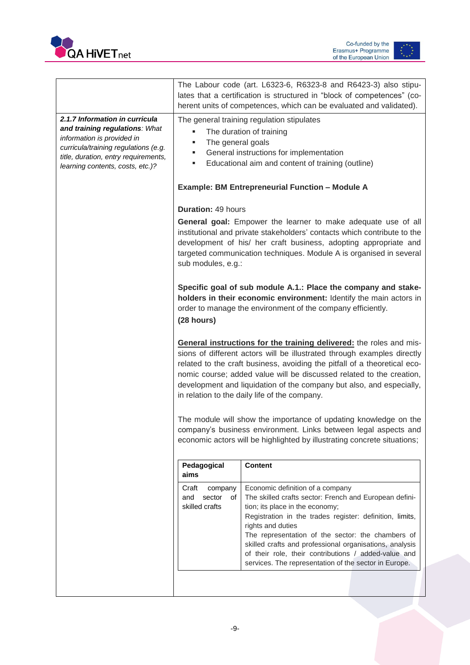



|                                                                                                                                                                                                                    |                                                                                                                                                                                                                                                                                                                                                                                                                              | The Labour code (art. L6323-6, R6323-8 and R6423-3) also stipu-<br>lates that a certification is structured in "block of competences" (co-<br>herent units of competences, which can be evaluated and validated).                                                                                                                                                                                                                               |  |  |
|--------------------------------------------------------------------------------------------------------------------------------------------------------------------------------------------------------------------|------------------------------------------------------------------------------------------------------------------------------------------------------------------------------------------------------------------------------------------------------------------------------------------------------------------------------------------------------------------------------------------------------------------------------|-------------------------------------------------------------------------------------------------------------------------------------------------------------------------------------------------------------------------------------------------------------------------------------------------------------------------------------------------------------------------------------------------------------------------------------------------|--|--|
| 2.1.7 Information in curricula<br>and training regulations: What<br>information is provided in<br>curricula/training regulations (e.g.<br>title, duration, entry requirements,<br>learning contents, costs, etc.)? | The general training regulation stipulates<br>The duration of training<br>The general goals<br>٠<br>General instructions for implementation<br>٠<br>Educational aim and content of training (outline)                                                                                                                                                                                                                        |                                                                                                                                                                                                                                                                                                                                                                                                                                                 |  |  |
|                                                                                                                                                                                                                    | <b>Example: BM Entrepreneurial Function - Module A</b>                                                                                                                                                                                                                                                                                                                                                                       |                                                                                                                                                                                                                                                                                                                                                                                                                                                 |  |  |
|                                                                                                                                                                                                                    | <b>Duration: 49 hours</b><br>General goal: Empower the learner to make adequate use of all<br>institutional and private stakeholders' contacts which contribute to the<br>development of his/ her craft business, adopting appropriate and<br>targeted communication techniques. Module A is organised in several<br>sub modules, e.g.:                                                                                      |                                                                                                                                                                                                                                                                                                                                                                                                                                                 |  |  |
|                                                                                                                                                                                                                    | Specific goal of sub module A.1.: Place the company and stake-<br>holders in their economic environment: Identify the main actors in<br>order to manage the environment of the company efficiently.<br>(28 hours)                                                                                                                                                                                                            |                                                                                                                                                                                                                                                                                                                                                                                                                                                 |  |  |
|                                                                                                                                                                                                                    | General instructions for the training delivered: the roles and mis-<br>sions of different actors will be illustrated through examples directly<br>related to the craft business, avoiding the pitfall of a theoretical eco-<br>nomic course; added value will be discussed related to the creation,<br>development and liquidation of the company but also, and especially,<br>in relation to the daily life of the company. |                                                                                                                                                                                                                                                                                                                                                                                                                                                 |  |  |
|                                                                                                                                                                                                                    | The module will show the importance of updating knowledge on the<br>company's business environment. Links between legal aspects and<br>economic actors will be highlighted by illustrating concrete situations;                                                                                                                                                                                                              |                                                                                                                                                                                                                                                                                                                                                                                                                                                 |  |  |
|                                                                                                                                                                                                                    | Pedagogical<br>aims                                                                                                                                                                                                                                                                                                                                                                                                          | <b>Content</b>                                                                                                                                                                                                                                                                                                                                                                                                                                  |  |  |
|                                                                                                                                                                                                                    | Craft<br>company<br>sector<br>and<br>of<br>skilled crafts                                                                                                                                                                                                                                                                                                                                                                    | Economic definition of a company<br>The skilled crafts sector: French and European defini-<br>tion; its place in the economy;<br>Registration in the trades register: definition, limits,<br>rights and duties<br>The representation of the sector: the chambers of<br>skilled crafts and professional organisations, analysis<br>of their role, their contributions / added-value and<br>services. The representation of the sector in Europe. |  |  |
|                                                                                                                                                                                                                    |                                                                                                                                                                                                                                                                                                                                                                                                                              |                                                                                                                                                                                                                                                                                                                                                                                                                                                 |  |  |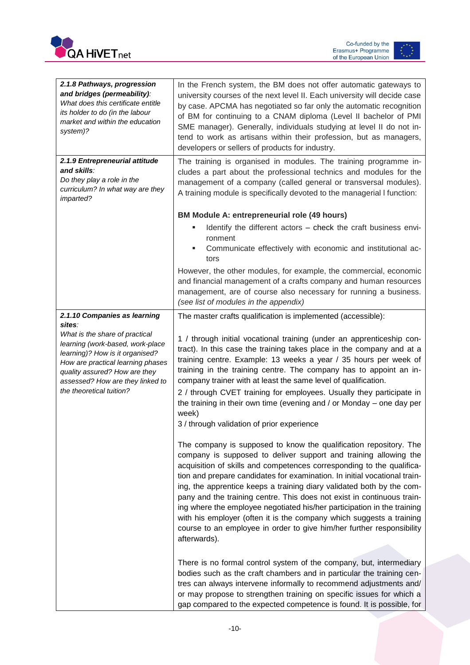



| 2.1.8 Pathways, progression<br>and bridges (permeability):<br>What does this certificate entitle<br>its holder to do (in the labour<br>market and within the education<br>system)?                                                                                                    | In the French system, the BM does not offer automatic gateways to<br>university courses of the next level II. Each university will decide case<br>by case. APCMA has negotiated so far only the automatic recognition<br>of BM for continuing to a CNAM diploma (Level II bachelor of PMI<br>SME manager). Generally, individuals studying at level II do not in-<br>tend to work as artisans within their profession, but as managers,<br>developers or sellers of products for industry.                                                                                                                                                                                                 |  |  |
|---------------------------------------------------------------------------------------------------------------------------------------------------------------------------------------------------------------------------------------------------------------------------------------|--------------------------------------------------------------------------------------------------------------------------------------------------------------------------------------------------------------------------------------------------------------------------------------------------------------------------------------------------------------------------------------------------------------------------------------------------------------------------------------------------------------------------------------------------------------------------------------------------------------------------------------------------------------------------------------------|--|--|
| 2.1.9 Entrepreneurial attitude<br>and skills:<br>Do they play a role in the<br>curriculum? In what way are they<br><i>imparted?</i>                                                                                                                                                   | The training is organised in modules. The training programme in-<br>cludes a part about the professional technics and modules for the<br>management of a company (called general or transversal modules).<br>A training module is specifically devoted to the managerial I function:                                                                                                                                                                                                                                                                                                                                                                                                       |  |  |
|                                                                                                                                                                                                                                                                                       | <b>BM Module A: entrepreneurial role (49 hours)</b>                                                                                                                                                                                                                                                                                                                                                                                                                                                                                                                                                                                                                                        |  |  |
|                                                                                                                                                                                                                                                                                       | Identify the different actors - check the craft business envi-<br>ш<br>ronment<br>Communicate effectively with economic and institutional ac-<br>tors<br>However, the other modules, for example, the commercial, economic<br>and financial management of a crafts company and human resources<br>management, are of course also necessary for running a business.                                                                                                                                                                                                                                                                                                                         |  |  |
|                                                                                                                                                                                                                                                                                       | (see list of modules in the appendix)                                                                                                                                                                                                                                                                                                                                                                                                                                                                                                                                                                                                                                                      |  |  |
| 2.1.10 Companies as learning<br>sites:<br>What is the share of practical<br>learning (work-based, work-place<br>learning)? How is it organised?<br>How are practical learning phases<br>quality assured? How are they<br>assessed? How are they linked to<br>the theoretical tuition? | The master crafts qualification is implemented (accessible):<br>1 / through initial vocational training (under an apprenticeship con-<br>tract). In this case the training takes place in the company and at a<br>training centre. Example: 13 weeks a year / 35 hours per week of<br>training in the training centre. The company has to appoint an in-<br>company trainer with at least the same level of qualification.<br>2 / through CVET training for employees. Usually they participate in<br>the training in their own time (evening and / or Monday - one day per<br>week)<br>3 / through validation of prior experience                                                         |  |  |
|                                                                                                                                                                                                                                                                                       | The company is supposed to know the qualification repository. The<br>company is supposed to deliver support and training allowing the<br>acquisition of skills and competences corresponding to the qualifica-<br>tion and prepare candidates for examination. In initial vocational train-<br>ing, the apprentice keeps a training diary validated both by the com-<br>pany and the training centre. This does not exist in continuous train-<br>ing where the employee negotiated his/her participation in the training<br>with his employer (often it is the company which suggests a training<br>course to an employee in order to give him/her further responsibility<br>afterwards). |  |  |
|                                                                                                                                                                                                                                                                                       | There is no formal control system of the company, but, intermediary<br>bodies such as the craft chambers and in particular the training cen-<br>tres can always intervene informally to recommend adjustments and/<br>or may propose to strengthen training on specific issues for which a<br>gap compared to the expected competence is found. It is possible, for                                                                                                                                                                                                                                                                                                                        |  |  |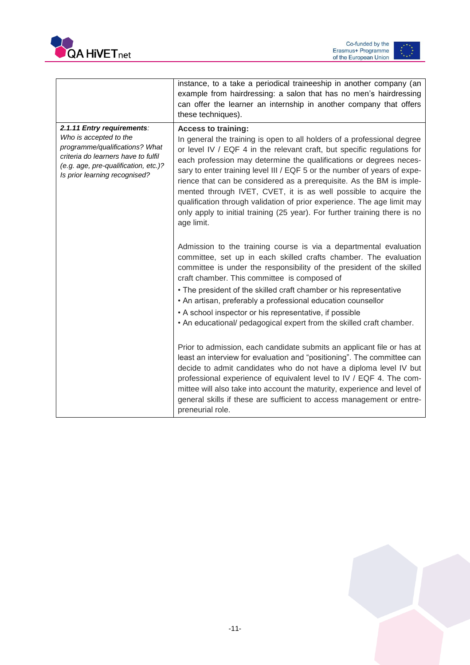



|                                                                                                                                                                                                        | instance, to a take a periodical traineeship in another company (an<br>example from hairdressing: a salon that has no men's hairdressing<br>can offer the learner an internship in another company that offers<br>these techniques).                                                                                                                                                                                                                                                                                                                                                                                                                  |
|--------------------------------------------------------------------------------------------------------------------------------------------------------------------------------------------------------|-------------------------------------------------------------------------------------------------------------------------------------------------------------------------------------------------------------------------------------------------------------------------------------------------------------------------------------------------------------------------------------------------------------------------------------------------------------------------------------------------------------------------------------------------------------------------------------------------------------------------------------------------------|
| 2.1.11 Entry requirements:<br>Who is accepted to the<br>programme/qualifications? What<br>criteria do learners have to fulfil<br>(e.g. age, pre-qualification, etc.)?<br>Is prior learning recognised? | <b>Access to training:</b><br>In general the training is open to all holders of a professional degree<br>or level IV / EQF 4 in the relevant craft, but specific regulations for<br>each profession may determine the qualifications or degrees neces-<br>sary to enter training level III / EQF 5 or the number of years of expe-<br>rience that can be considered as a prerequisite. As the BM is imple-<br>mented through IVET, CVET, it is as well possible to acquire the<br>qualification through validation of prior experience. The age limit may<br>only apply to initial training (25 year). For further training there is no<br>age limit. |
|                                                                                                                                                                                                        | Admission to the training course is via a departmental evaluation<br>committee, set up in each skilled crafts chamber. The evaluation<br>committee is under the responsibility of the president of the skilled<br>craft chamber. This committee is composed of<br>• The president of the skilled craft chamber or his representative<br>• An artisan, preferably a professional education counsellor<br>• A school inspector or his representative, if possible<br>. An educational/ pedagogical expert from the skilled craft chamber.                                                                                                               |
|                                                                                                                                                                                                        | Prior to admission, each candidate submits an applicant file or has at<br>least an interview for evaluation and "positioning". The committee can<br>decide to admit candidates who do not have a diploma level IV but<br>professional experience of equivalent level to IV / EQF 4. The com-<br>mittee will also take into account the maturity, experience and level of<br>general skills if these are sufficient to access management or entre-<br>preneurial role.                                                                                                                                                                                 |

<span id="page-11-0"></span>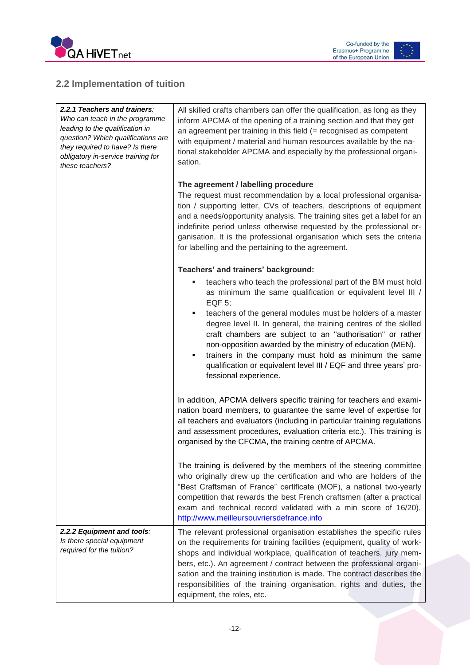



### **2.2 Implementation of tuition**

| 2.2.1 Teachers and trainers:<br>Who can teach in the programme<br>leading to the qualification in<br>question? Which qualifications are<br>they required to have? Is there<br>obligatory in-service training for<br>these teachers? | All skilled crafts chambers can offer the qualification, as long as they<br>inform APCMA of the opening of a training section and that they get<br>an agreement per training in this field $(=$ recognised as competent<br>with equipment / material and human resources available by the na-<br>tional stakeholder APCMA and especially by the professional organi-<br>sation.                                                                                                                                                                                       |
|-------------------------------------------------------------------------------------------------------------------------------------------------------------------------------------------------------------------------------------|-----------------------------------------------------------------------------------------------------------------------------------------------------------------------------------------------------------------------------------------------------------------------------------------------------------------------------------------------------------------------------------------------------------------------------------------------------------------------------------------------------------------------------------------------------------------------|
|                                                                                                                                                                                                                                     | The agreement / labelling procedure<br>The request must recommendation by a local professional organisa-<br>tion / supporting letter, CVs of teachers, descriptions of equipment<br>and a needs/opportunity analysis. The training sites get a label for an<br>indefinite period unless otherwise requested by the professional or-<br>ganisation. It is the professional organisation which sets the criteria<br>for labelling and the pertaining to the agreement.                                                                                                  |
|                                                                                                                                                                                                                                     | Teachers' and trainers' background:                                                                                                                                                                                                                                                                                                                                                                                                                                                                                                                                   |
|                                                                                                                                                                                                                                     | teachers who teach the professional part of the BM must hold<br>as minimum the same qualification or equivalent level III /<br>EQF 5;<br>teachers of the general modules must be holders of a master<br>٠<br>degree level II. In general, the training centres of the skilled<br>craft chambers are subject to an "authorisation" or rather<br>non-opposition awarded by the ministry of education (MEN).<br>trainers in the company must hold as minimum the same<br>٠<br>qualification or equivalent level III / EQF and three years' pro-<br>fessional experience. |
|                                                                                                                                                                                                                                     | In addition, APCMA delivers specific training for teachers and exami-<br>nation board members, to guarantee the same level of expertise for<br>all teachers and evaluators (including in particular training regulations<br>and assessment procedures, evaluation criteria etc.). This training is<br>organised by the CFCMA, the training centre of APCMA.                                                                                                                                                                                                           |
|                                                                                                                                                                                                                                     | The training is delivered by the members of the steering committee<br>who originally drew up the certification and who are holders of the<br>"Best Craftsman of France" certificate (MOF), a national two-yearly<br>competition that rewards the best French craftsmen (after a practical<br>exam and technical record validated with a min score of 16/20).<br>http://www.meilleursouvriersdefrance.info                                                                                                                                                             |
| 2.2.2 Equipment and tools:<br>Is there special equipment<br>required for the tuition?                                                                                                                                               | The relevant professional organisation establishes the specific rules<br>on the requirements for training facilities (equipment, quality of work-<br>shops and individual workplace, qualification of teachers, jury mem-<br>bers, etc.). An agreement / contract between the professional organi-<br>sation and the training institution is made. The contract describes the<br>responsibilities of the training organisation, rights and duties, the<br>equipment, the roles, etc.                                                                                  |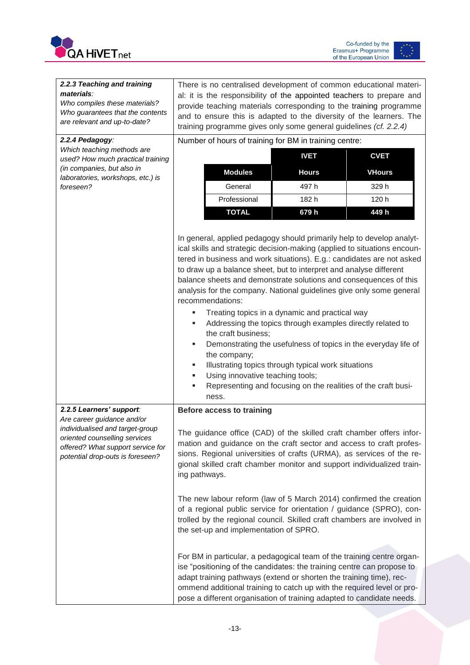



| 2.2.3 Teaching and training<br>materials:<br>Who compiles these materials?<br>Who guarantees that the contents<br>are relevant and up-to-date?                                                      | There is no centralised development of common educational materi-<br>al: it is the responsibility of the appointed teachers to prepare and<br>provide teaching materials corresponding to the training programme<br>and to ensure this is adapted to the diversity of the learners. The<br>training programme gives only some general guidelines (cf. 2.2.4)                                                                                                                                                                                                                                                                                                                                                                                                                                                                                                                                                                                                                                         |              |               |  |
|-----------------------------------------------------------------------------------------------------------------------------------------------------------------------------------------------------|------------------------------------------------------------------------------------------------------------------------------------------------------------------------------------------------------------------------------------------------------------------------------------------------------------------------------------------------------------------------------------------------------------------------------------------------------------------------------------------------------------------------------------------------------------------------------------------------------------------------------------------------------------------------------------------------------------------------------------------------------------------------------------------------------------------------------------------------------------------------------------------------------------------------------------------------------------------------------------------------------|--------------|---------------|--|
| 2.2.4 Pedagogy:                                                                                                                                                                                     | Number of hours of training for BM in training centre:                                                                                                                                                                                                                                                                                                                                                                                                                                                                                                                                                                                                                                                                                                                                                                                                                                                                                                                                               |              |               |  |
| Which teaching methods are<br>used? How much practical training                                                                                                                                     |                                                                                                                                                                                                                                                                                                                                                                                                                                                                                                                                                                                                                                                                                                                                                                                                                                                                                                                                                                                                      | <b>IVET</b>  | <b>CVET</b>   |  |
| (in companies, but also in<br>laboratories, workshops, etc.) is                                                                                                                                     | <b>Modules</b>                                                                                                                                                                                                                                                                                                                                                                                                                                                                                                                                                                                                                                                                                                                                                                                                                                                                                                                                                                                       | <b>Hours</b> | <b>VHours</b> |  |
| foreseen?                                                                                                                                                                                           | General                                                                                                                                                                                                                                                                                                                                                                                                                                                                                                                                                                                                                                                                                                                                                                                                                                                                                                                                                                                              | 497h         | 329 h         |  |
|                                                                                                                                                                                                     | Professional                                                                                                                                                                                                                                                                                                                                                                                                                                                                                                                                                                                                                                                                                                                                                                                                                                                                                                                                                                                         | 182h         | 120 h         |  |
|                                                                                                                                                                                                     | <b>TOTAL</b>                                                                                                                                                                                                                                                                                                                                                                                                                                                                                                                                                                                                                                                                                                                                                                                                                                                                                                                                                                                         | 679h         | 449 h         |  |
|                                                                                                                                                                                                     | In general, applied pedagogy should primarily help to develop analyt-<br>ical skills and strategic decision-making (applied to situations encoun-<br>tered in business and work situations). E.g.: candidates are not asked<br>to draw up a balance sheet, but to interpret and analyse different<br>balance sheets and demonstrate solutions and consequences of this<br>analysis for the company. National guidelines give only some general<br>recommendations:<br>Treating topics in a dynamic and practical way<br>Addressing the topics through examples directly related to<br>ш<br>the craft business;<br>Demonstrating the usefulness of topics in the everyday life of<br>the company;<br>Illustrating topics through typical work situations<br>٠<br>Using innovative teaching tools;<br>٠<br>Representing and focusing on the realities of the craft busi-<br>ness.                                                                                                                      |              |               |  |
| 2.2.5 Learners' support:<br>Are career guidance and/or<br>individualised and target-group<br>oriented counselling services<br>offered? What support service for<br>potential drop-outs is foreseen? | <b>Before access to training</b><br>The guidance office (CAD) of the skilled craft chamber offers infor-<br>mation and guidance on the craft sector and access to craft profes-<br>sions. Regional universities of crafts (URMA), as services of the re-<br>gional skilled craft chamber monitor and support individualized train-<br>ing pathways.<br>The new labour reform (law of 5 March 2014) confirmed the creation<br>of a regional public service for orientation / guidance (SPRO), con-<br>trolled by the regional council. Skilled craft chambers are involved in<br>the set-up and implementation of SPRO.<br>For BM in particular, a pedagogical team of the training centre organ-<br>ise "positioning of the candidates: the training centre can propose to<br>adapt training pathways (extend or shorten the training time), rec-<br>ommend additional training to catch up with the required level or pro-<br>pose a different organisation of training adapted to candidate needs. |              |               |  |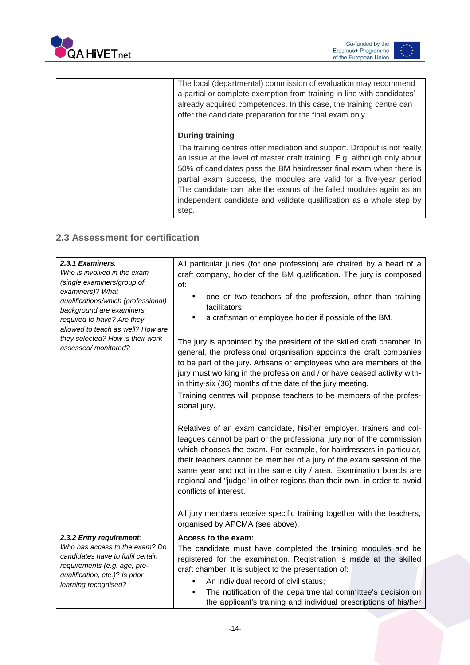



| The local (departmental) commission of evaluation may recommend<br>a partial or complete exemption from training in line with candidates'<br>already acquired competences. In this case, the training centre can<br>offer the candidate preparation for the final exam only.                                                                                                                                                                                           |
|------------------------------------------------------------------------------------------------------------------------------------------------------------------------------------------------------------------------------------------------------------------------------------------------------------------------------------------------------------------------------------------------------------------------------------------------------------------------|
| <b>During training</b><br>The training centres offer mediation and support. Dropout is not really<br>an issue at the level of master craft training. E.g. although only about<br>50% of candidates pass the BM hairdresser final exam when there is<br>partial exam success, the modules are valid for a five-year period<br>The candidate can take the exams of the failed modules again as an<br>independent candidate and validate qualification as a whole step by |
| step.                                                                                                                                                                                                                                                                                                                                                                                                                                                                  |

### <span id="page-14-0"></span>**2.3 Assessment for certification**

| 2.3.1 Examiners:<br>Who is involved in the exam<br>(single examiners/group of<br>examiners)? What<br>qualifications/which (professional)<br>background are examiners<br>required to have? Are they<br>allowed to teach as well? How are<br>they selected? How is their work<br>assessed/monitored? | All particular juries (for one profession) are chaired by a head of a<br>craft company, holder of the BM qualification. The jury is composed<br>of:<br>one or two teachers of the profession, other than training<br>facilitators,<br>a craftsman or employee holder if possible of the BM.                                                                                                                                                                                                                                                      |
|----------------------------------------------------------------------------------------------------------------------------------------------------------------------------------------------------------------------------------------------------------------------------------------------------|--------------------------------------------------------------------------------------------------------------------------------------------------------------------------------------------------------------------------------------------------------------------------------------------------------------------------------------------------------------------------------------------------------------------------------------------------------------------------------------------------------------------------------------------------|
|                                                                                                                                                                                                                                                                                                    | The jury is appointed by the president of the skilled craft chamber. In<br>general, the professional organisation appoints the craft companies<br>to be part of the jury. Artisans or employees who are members of the<br>jury must working in the profession and / or have ceased activity with-<br>in thirty-six (36) months of the date of the jury meeting.<br>Training centres will propose teachers to be members of the profes-<br>sional jury.                                                                                           |
|                                                                                                                                                                                                                                                                                                    | Relatives of an exam candidate, his/her employer, trainers and col-<br>leagues cannot be part or the professional jury nor of the commission<br>which chooses the exam. For example, for hairdressers in particular,<br>their teachers cannot be member of a jury of the exam session of the<br>same year and not in the same city / area. Examination boards are<br>regional and "judge" in other regions than their own, in order to avoid<br>conflicts of interest.<br>All jury members receive specific training together with the teachers, |
|                                                                                                                                                                                                                                                                                                    | organised by APCMA (see above).                                                                                                                                                                                                                                                                                                                                                                                                                                                                                                                  |
| 2.3.2 Entry requirement:<br>Who has access to the exam? Do<br>candidates have to fulfil certain<br>requirements (e.g. age, pre-<br>qualification, etc.)? Is prior<br>learning recognised?                                                                                                          | Access to the exam:<br>The candidate must have completed the training modules and be<br>registered for the examination. Registration is made at the skilled<br>craft chamber. It is subject to the presentation of:<br>An individual record of civil status;<br>The notification of the departmental committee's decision on<br>٠<br>the applicant's training and individual prescriptions of his/her                                                                                                                                            |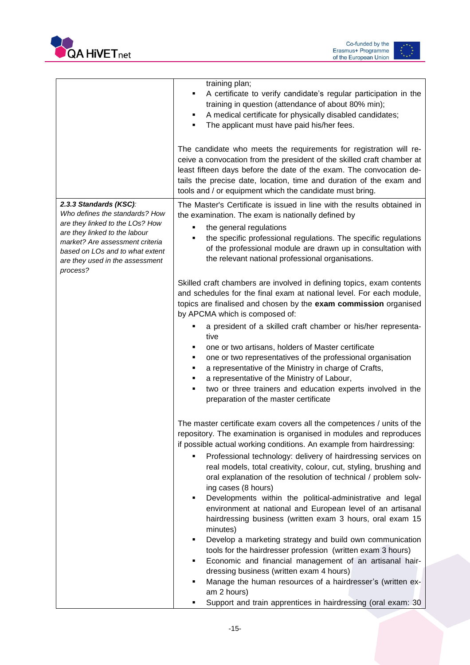

|                                                                                                                                                                                                                                                   | training plan;<br>A certificate to verify candidate's regular participation in the<br>٠<br>training in question (attendance of about 80% min);<br>A medical certificate for physically disabled candidates;<br>٠<br>The applicant must have paid his/her fees.<br>The candidate who meets the requirements for registration will re-<br>ceive a convocation from the president of the skilled craft chamber at<br>least fifteen days before the date of the exam. The convocation de-<br>tails the precise date, location, time and duration of the exam and<br>tools and / or equipment which the candidate must bring.                                                                                                                                                                                                                                                                                                                                                                                                                                    |
|---------------------------------------------------------------------------------------------------------------------------------------------------------------------------------------------------------------------------------------------------|-------------------------------------------------------------------------------------------------------------------------------------------------------------------------------------------------------------------------------------------------------------------------------------------------------------------------------------------------------------------------------------------------------------------------------------------------------------------------------------------------------------------------------------------------------------------------------------------------------------------------------------------------------------------------------------------------------------------------------------------------------------------------------------------------------------------------------------------------------------------------------------------------------------------------------------------------------------------------------------------------------------------------------------------------------------|
| 2.3.3 Standards (KSC):<br>Who defines the standards? How<br>are they linked to the LOs? How<br>are they linked to the labour<br>market? Are assessment criteria<br>based on LOs and to what extent<br>are they used in the assessment<br>process? | The Master's Certificate is issued in line with the results obtained in<br>the examination. The exam is nationally defined by<br>the general regulations<br>٠<br>the specific professional regulations. The specific regulations<br>٠<br>of the professional module are drawn up in consultation with<br>the relevant national professional organisations.                                                                                                                                                                                                                                                                                                                                                                                                                                                                                                                                                                                                                                                                                                  |
|                                                                                                                                                                                                                                                   | Skilled craft chambers are involved in defining topics, exam contents<br>and schedules for the final exam at national level. For each module,<br>topics are finalised and chosen by the exam commission organised<br>by APCMA which is composed of:<br>a president of a skilled craft chamber or his/her representa-<br>tive<br>one or two artisans, holders of Master certificate<br>٠<br>one or two representatives of the professional organisation<br>٠<br>a representative of the Ministry in charge of Crafts,<br>٠<br>a representative of the Ministry of Labour,<br>two or three trainers and education experts involved in the<br>preparation of the master certificate                                                                                                                                                                                                                                                                                                                                                                            |
|                                                                                                                                                                                                                                                   | The master certificate exam covers all the competences / units of the<br>repository. The examination is organised in modules and reproduces<br>if possible actual working conditions. An example from hairdressing:<br>Professional technology: delivery of hairdressing services on<br>real models, total creativity, colour, cut, styling, brushing and<br>oral explanation of the resolution of technical / problem solv-<br>ing cases (8 hours)<br>Developments within the political-administrative and legal<br>٠<br>environment at national and European level of an artisanal<br>hairdressing business (written exam 3 hours, oral exam 15<br>minutes)<br>Develop a marketing strategy and build own communication<br>٠<br>tools for the hairdresser profession (written exam 3 hours)<br>Economic and financial management of an artisanal hair-<br>٠<br>dressing business (written exam 4 hours)<br>Manage the human resources of a hairdresser's (written ex-<br>٠<br>am 2 hours)<br>Support and train apprentices in hairdressing (oral exam: 30 |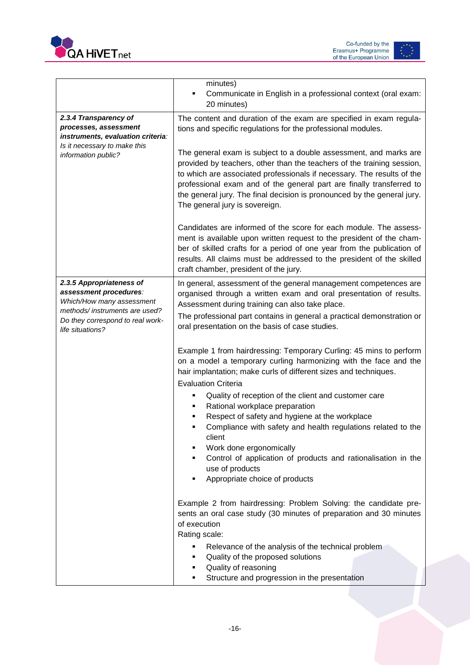



|                                                                                                                                                                          | minutes)<br>Communicate in English in a professional context (oral exam:<br>٠<br>20 minutes)                                                                                                                                                                                                                                                                                                                                                                                                                                                                    |
|--------------------------------------------------------------------------------------------------------------------------------------------------------------------------|-----------------------------------------------------------------------------------------------------------------------------------------------------------------------------------------------------------------------------------------------------------------------------------------------------------------------------------------------------------------------------------------------------------------------------------------------------------------------------------------------------------------------------------------------------------------|
| 2.3.4 Transparency of<br>processes, assessment<br>instruments, evaluation criteria:<br>Is it necessary to make this<br>information public?                               | The content and duration of the exam are specified in exam regula-<br>tions and specific regulations for the professional modules.<br>The general exam is subject to a double assessment, and marks are<br>provided by teachers, other than the teachers of the training session,<br>to which are associated professionals if necessary. The results of the<br>professional exam and of the general part are finally transferred to<br>the general jury. The final decision is pronounced by the general jury.<br>The general jury is sovereign.                |
|                                                                                                                                                                          | Candidates are informed of the score for each module. The assess-<br>ment is available upon written request to the president of the cham-<br>ber of skilled crafts for a period of one year from the publication of<br>results. All claims must be addressed to the president of the skilled<br>craft chamber, president of the jury.                                                                                                                                                                                                                           |
| 2.3.5 Appropriateness of<br>assessment procedures:<br>Which/How many assessment<br>methods/instruments are used?<br>Do they correspond to real work-<br>life situations? | In general, assessment of the general management competences are<br>organised through a written exam and oral presentation of results.<br>Assessment during training can also take place.<br>The professional part contains in general a practical demonstration or<br>oral presentation on the basis of case studies.                                                                                                                                                                                                                                          |
|                                                                                                                                                                          | Example 1 from hairdressing: Temporary Curling: 45 mins to perform<br>on a model a temporary curling harmonizing with the face and the<br>hair implantation; make curls of different sizes and techniques.<br><b>Evaluation Criteria</b><br>Quality of reception of the client and customer care<br>Rational workplace preparation<br>٠<br>Respect of safety and hygiene at the workplace<br>Compliance with safety and health regulations related to the<br>client<br>Work done ergonomically<br>Control of application of products and rationalisation in the |
|                                                                                                                                                                          | use of products<br>Appropriate choice of products<br>Example 2 from hairdressing: Problem Solving: the candidate pre-<br>sents an oral case study (30 minutes of preparation and 30 minutes<br>of execution<br>Rating scale:<br>Relevance of the analysis of the technical problem<br>Quality of the proposed solutions                                                                                                                                                                                                                                         |
|                                                                                                                                                                          | Quality of reasoning<br>Structure and progression in the presentation                                                                                                                                                                                                                                                                                                                                                                                                                                                                                           |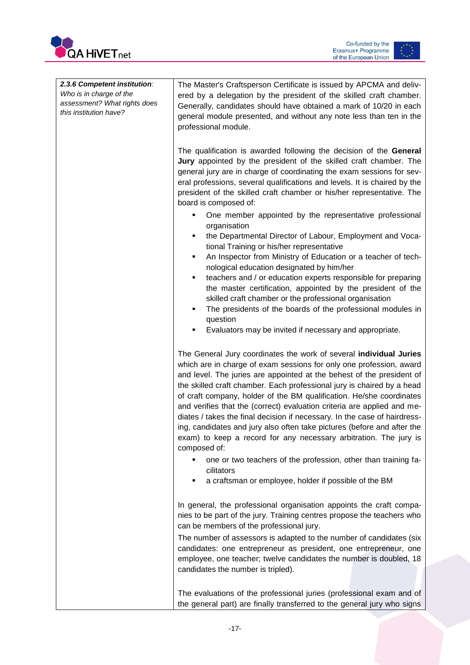



| 2.3.6 Competent institution: | The Master's Craftsperson Certificate is issued by APCMA and deliv-                                                                                                                                                                                                                                                                                                                                                                                                                                                                                                                                    |
|------------------------------|--------------------------------------------------------------------------------------------------------------------------------------------------------------------------------------------------------------------------------------------------------------------------------------------------------------------------------------------------------------------------------------------------------------------------------------------------------------------------------------------------------------------------------------------------------------------------------------------------------|
| Who is in charge of the      | ered by a delegation by the president of the skilled craft chamber.                                                                                                                                                                                                                                                                                                                                                                                                                                                                                                                                    |
| assessment? What rights does | Generally, candidates should have obtained a mark of 10/20 in each                                                                                                                                                                                                                                                                                                                                                                                                                                                                                                                                     |
| this institution have?       | general module presented, and without any note less than ten in the                                                                                                                                                                                                                                                                                                                                                                                                                                                                                                                                    |
|                              | professional module.                                                                                                                                                                                                                                                                                                                                                                                                                                                                                                                                                                                   |
|                              |                                                                                                                                                                                                                                                                                                                                                                                                                                                                                                                                                                                                        |
|                              | The qualification is awarded following the decision of the General<br>Jury appointed by the president of the skilled craft chamber. The<br>general jury are in charge of coordinating the exam sessions for sev-                                                                                                                                                                                                                                                                                                                                                                                       |
|                              | eral professions, several qualifications and levels. It is chaired by the<br>president of the skilled craft chamber or his/her representative. The<br>board is composed of:                                                                                                                                                                                                                                                                                                                                                                                                                            |
|                              | One member appointed by the representative professional<br>organisation                                                                                                                                                                                                                                                                                                                                                                                                                                                                                                                                |
|                              | the Departmental Director of Labour, Employment and Voca-<br>٠<br>tional Training or his/her representative                                                                                                                                                                                                                                                                                                                                                                                                                                                                                            |
|                              | An Inspector from Ministry of Education or a teacher of tech-<br>٠<br>nological education designated by him/her                                                                                                                                                                                                                                                                                                                                                                                                                                                                                        |
|                              | teachers and / or education experts responsible for preparing                                                                                                                                                                                                                                                                                                                                                                                                                                                                                                                                          |
|                              | the master certification, appointed by the president of the                                                                                                                                                                                                                                                                                                                                                                                                                                                                                                                                            |
|                              | skilled craft chamber or the professional organisation                                                                                                                                                                                                                                                                                                                                                                                                                                                                                                                                                 |
|                              | The presidents of the boards of the professional modules in<br>٠                                                                                                                                                                                                                                                                                                                                                                                                                                                                                                                                       |
|                              | question<br>Evaluators may be invited if necessary and appropriate.                                                                                                                                                                                                                                                                                                                                                                                                                                                                                                                                    |
|                              |                                                                                                                                                                                                                                                                                                                                                                                                                                                                                                                                                                                                        |
|                              | The General Jury coordinates the work of several individual Juries                                                                                                                                                                                                                                                                                                                                                                                                                                                                                                                                     |
|                              | which are in charge of exam sessions for only one profession, award<br>and level. The juries are appointed at the behest of the president of<br>the skilled craft chamber. Each professional jury is chaired by a head<br>of craft company, holder of the BM qualification. He/she coordinates<br>and verifies that the (correct) evaluation criteria are applied and me-<br>diates / takes the final decision if necessary. In the case of hairdress-<br>ing, candidates and jury also often take pictures (before and after the<br>exam) to keep a record for any necessary arbitration. The jury is |
|                              | composed of:                                                                                                                                                                                                                                                                                                                                                                                                                                                                                                                                                                                           |
|                              | one or two teachers of the profession, other than training fa-<br>cilitators                                                                                                                                                                                                                                                                                                                                                                                                                                                                                                                           |
|                              | a craftsman or employee, holder if possible of the BM                                                                                                                                                                                                                                                                                                                                                                                                                                                                                                                                                  |
|                              | In general, the professional organisation appoints the craft compa-<br>nies to be part of the jury. Training centres propose the teachers who<br>can be members of the professional jury.                                                                                                                                                                                                                                                                                                                                                                                                              |
|                              | The number of assessors is adapted to the number of candidates (six                                                                                                                                                                                                                                                                                                                                                                                                                                                                                                                                    |
|                              | candidates: one entrepreneur as president, one entrepreneur, one                                                                                                                                                                                                                                                                                                                                                                                                                                                                                                                                       |
|                              | employee, one teacher; twelve candidates the number is doubled, 18<br>candidates the number is tripled).                                                                                                                                                                                                                                                                                                                                                                                                                                                                                               |
|                              |                                                                                                                                                                                                                                                                                                                                                                                                                                                                                                                                                                                                        |
|                              | The evaluations of the professional juries (professional exam and of<br>the general part) are finally transferred to the general jury who signs                                                                                                                                                                                                                                                                                                                                                                                                                                                        |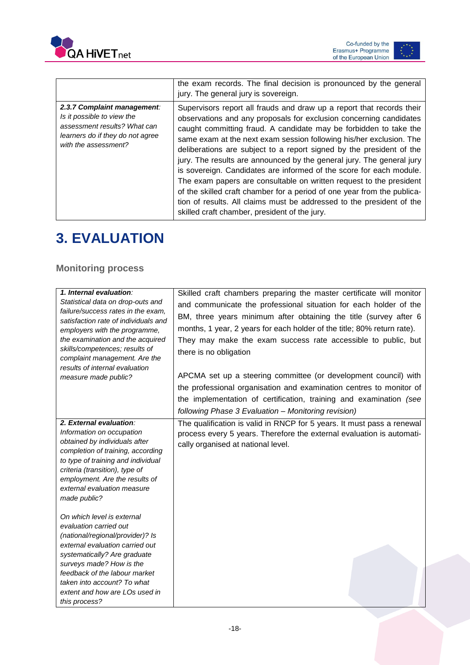



|                                                                                                                                                       | the exam records. The final decision is pronounced by the general<br>jury. The general jury is sovereign.                                                                                                                                                                                                                                                                                                                                                                                                                                                                                                                                                                                                                                                                                   |
|-------------------------------------------------------------------------------------------------------------------------------------------------------|---------------------------------------------------------------------------------------------------------------------------------------------------------------------------------------------------------------------------------------------------------------------------------------------------------------------------------------------------------------------------------------------------------------------------------------------------------------------------------------------------------------------------------------------------------------------------------------------------------------------------------------------------------------------------------------------------------------------------------------------------------------------------------------------|
| 2.3.7 Complaint management:<br>Is it possible to view the<br>assessment results? What can<br>learners do if they do not agree<br>with the assessment? | Supervisors report all frauds and draw up a report that records their<br>observations and any proposals for exclusion concerning candidates<br>caught committing fraud. A candidate may be forbidden to take the<br>same exam at the next exam session following his/her exclusion. The<br>deliberations are subject to a report signed by the president of the<br>jury. The results are announced by the general jury. The general jury<br>is sovereign. Candidates are informed of the score for each module.<br>The exam papers are consultable on written request to the president<br>of the skilled craft chamber for a period of one year from the publica-<br>tion of results. All claims must be addressed to the president of the<br>skilled craft chamber, president of the jury. |

# <span id="page-18-0"></span>**3. EVALUATION**

### <span id="page-18-1"></span>**Monitoring process**

| 1. Internal evaluation:<br>Statistical data on drop-outs and<br>failure/success rates in the exam,<br>satisfaction rate of individuals and<br>employers with the programme,<br>the examination and the acquired<br>skills/competences; results of<br>complaint management. Are the<br>results of internal evaluation<br>measure made public? | Skilled craft chambers preparing the master certificate will monitor<br>and communicate the professional situation for each holder of the<br>BM, three years minimum after obtaining the title (survey after 6<br>months, 1 year, 2 years for each holder of the title; 80% return rate).<br>They may make the exam success rate accessible to public, but<br>there is no obligation<br>APCMA set up a steering committee (or development council) with<br>the professional organisation and examination centres to monitor of<br>the implementation of certification, training and examination (see<br>following Phase 3 Evaluation - Monitoring revision) |
|----------------------------------------------------------------------------------------------------------------------------------------------------------------------------------------------------------------------------------------------------------------------------------------------------------------------------------------------|-------------------------------------------------------------------------------------------------------------------------------------------------------------------------------------------------------------------------------------------------------------------------------------------------------------------------------------------------------------------------------------------------------------------------------------------------------------------------------------------------------------------------------------------------------------------------------------------------------------------------------------------------------------|
| 2. External evaluation:<br>Information on occupation<br>obtained by individuals after<br>completion of training, according<br>to type of training and individual<br>criteria (transition), type of<br>employment. Are the results of<br>external evaluation measure<br>made public?                                                          | The qualification is valid in RNCP for 5 years. It must pass a renewal<br>process every 5 years. Therefore the external evaluation is automati-<br>cally organised at national level.                                                                                                                                                                                                                                                                                                                                                                                                                                                                       |
| On which level is external<br>evaluation carried out<br>(national/regional/provider)? Is<br>external evaluation carried out<br>systematically? Are graduate<br>surveys made? How is the<br>feedback of the labour market<br>taken into account? To what<br>extent and how are LOs used in<br>this process?                                   |                                                                                                                                                                                                                                                                                                                                                                                                                                                                                                                                                                                                                                                             |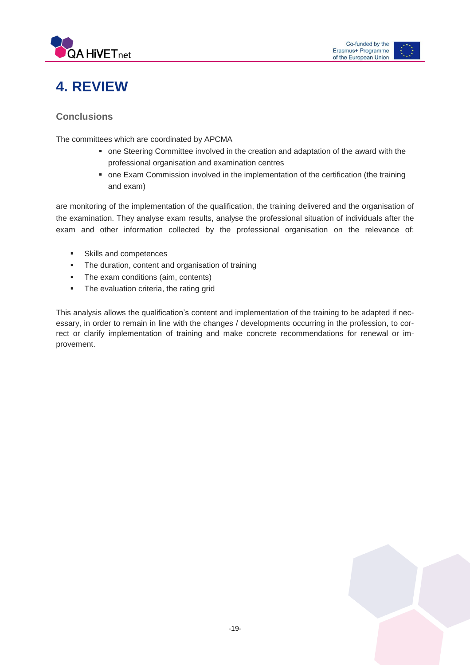



# <span id="page-19-0"></span>**4. REVIEW**

### <span id="page-19-1"></span>**Conclusions**

The committees which are coordinated by APCMA

- one Steering Committee involved in the creation and adaptation of the award with the professional organisation and examination centres
- **one Exam Commission involved in the implementation of the certification (the training** and exam)

are monitoring of the implementation of the qualification, the training delivered and the organisation of the examination. They analyse exam results, analyse the professional situation of individuals after the exam and other information collected by the professional organisation on the relevance of:

- **Skills and competences**
- The duration, content and organisation of training
- The exam conditions (aim, contents)
- **The evaluation criteria, the rating grid**

This analysis allows the qualification's content and implementation of the training to be adapted if necessary, in order to remain in line with the changes / developments occurring in the profession, to correct or clarify implementation of training and make concrete recommendations for renewal or improvement.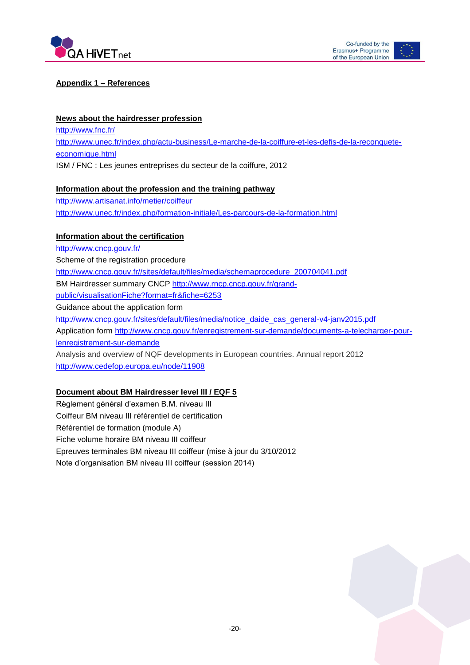



#### **Appendix 1 – References**

#### **News about the hairdresser profession**

<http://www.fnc.fr/> [http://www.unec.fr/index.php/actu-business/Le-marche-de-la-coiffure-et-les-defis-de-la-reconquete](http://www.unec.fr/index.php/actu-business/Le-marche-de-la-coiffure-et-les-defis-de-la-reconquete-economique.html)[economique.html](http://www.unec.fr/index.php/actu-business/Le-marche-de-la-coiffure-et-les-defis-de-la-reconquete-economique.html) ISM / FNC : Les jeunes entreprises du secteur de la coiffure, 2012

#### **Information about the profession and the training pathway**

<http://www.artisanat.info/metier/coiffeur> <http://www.unec.fr/index.php/formation-initiale/Les-parcours-de-la-formation.html>

#### **Information about the certification**

<http://www.cncp.gouv.fr/> Scheme of the registration procedure [http://www.cncp.gouv.fr//sites/default/files/media/schemaprocedure\\_200704041.pdf](http://www.cncp.gouv.fr/sites/default/files/media/schemaprocedure_200704041.pdf) BM Hairdresser summary CNCP [http://www.rncp.cncp.gouv.fr/grand](http://www.rncp.cncp.gouv.fr/grand-public/visualisationFiche?format=fr&fiche=6253)[public/visualisationFiche?format=fr&fiche=6253](http://www.rncp.cncp.gouv.fr/grand-public/visualisationFiche?format=fr&fiche=6253) Guidance about the application form [http://www.cncp.gouv.fr/sites/default/files/media/notice\\_daide\\_cas\\_general-v4-janv2015.pdf](http://www.cncp.gouv.fr/sites/default/files/media/notice_daide_cas_general-v4-janv2015.pdf) Application form [http://www.cncp.gouv.fr/enregistrement-sur-demande/documents-a-telecharger-pour](http://www.cncp.gouv.fr/enregistrement-sur-demande/documents-a-telecharger-pour-lenregistrement-sur-demande)[lenregistrement-sur-demande](http://www.cncp.gouv.fr/enregistrement-sur-demande/documents-a-telecharger-pour-lenregistrement-sur-demande) Analysis and overview of NQF developments in European countries. Annual report 2012 <http://www.cedefop.europa.eu/node/11908>

#### **Document about BM Hairdresser level III / EQF 5**

Règlement général d'examen B.M. niveau III Coiffeur BM niveau III référentiel de certification Référentiel de formation (module A) Fiche volume horaire BM niveau III coiffeur Epreuves terminales BM niveau III coiffeur (mise à jour du 3/10/2012 Note d'organisation BM niveau III coiffeur (session 2014)